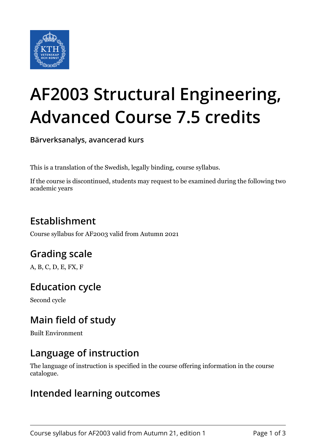

# **AF2003 Structural Engineering, Advanced Course 7.5 credits**

**Bärverksanalys, avancerad kurs**

This is a translation of the Swedish, legally binding, course syllabus.

If the course is discontinued, students may request to be examined during the following two academic years

## **Establishment**

Course syllabus for AF2003 valid from Autumn 2021

## **Grading scale**

A, B, C, D, E, FX, F

## **Education cycle**

Second cycle

## **Main field of study**

Built Environment

## **Language of instruction**

The language of instruction is specified in the course offering information in the course catalogue.

#### **Intended learning outcomes**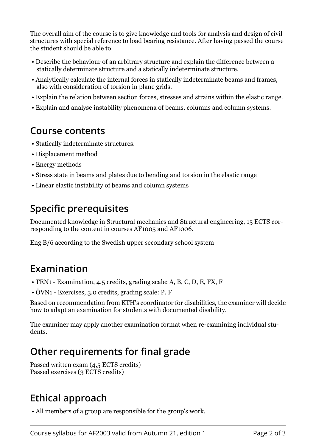The overall aim of the course is to give knowledge and tools for analysis and design of civil structures with special reference to load bearing resistance. After having passed the course the student should be able to

- Describe the behaviour of an arbitrary structure and explain the difference between a statically determinate structure and a statically indeterminate structure.
- Analytically calculate the internal forces in statically indeterminate beams and frames, also with consideration of torsion in plane grids.
- Explain the relation between section forces, stresses and strains within the elastic range.
- Explain and analyse instability phenomena of beams, columns and column systems.

#### **Course contents**

- Statically indeterminate structures.
- Displacement method
- Energy methods
- Stress state in beams and plates due to bending and torsion in the elastic range
- Linear elastic instability of beams and column systems

## **Specific prerequisites**

Documented knowledge in Structural mechanics and Structural engineering, 15 ECTS corresponding to the content in courses AF1005 and AF1006.

Eng B/6 according to the Swedish upper secondary school system

## **Examination**

- TEN1 Examination, 4.5 credits, grading scale: A, B, C, D, E, FX, F
- ÖVN1 Exercises, 3.0 credits, grading scale: P, F

Based on recommendation from KTH's coordinator for disabilities, the examiner will decide how to adapt an examination for students with documented disability.

The examiner may apply another examination format when re-examining individual students.

## **Other requirements for final grade**

Passed written exam (4,5 ECTS credits) Passed exercises (3 ECTS credits)

# **Ethical approach**

• All members of a group are responsible for the group's work.